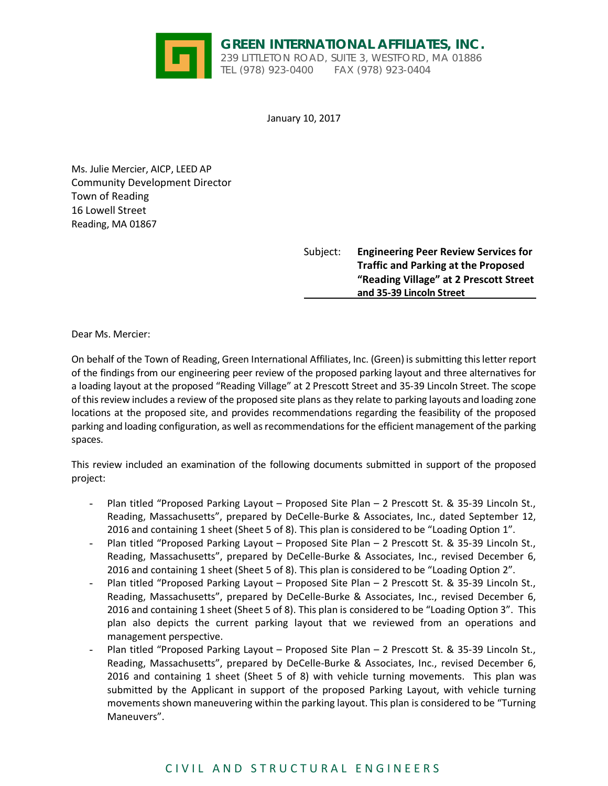

January 10, 2017

Ms. Julie Mercier, AICP, LEED AP Community Development Director Town of Reading 16 Lowell Street Reading, MA 01867

> Subject: **Engineering Peer Review Services for Traffic and Parking at the Proposed "Reading Village" at 2 Prescott Street and 35‐39 Lincoln Street**

Dear Ms. Mercier:

On behalf of the Town of Reading, Green International Affiliates, Inc. (Green) is submitting thisletter report of the findings from our engineering peer review of the proposed parking layout and three alternatives for a loading layout at the proposed "Reading Village" at 2 Prescott Street and 35‐39 Lincoln Street. The scope of thisreview includes a review of the proposed site plans as they relate to parking layouts and loading zone locations at the proposed site, and provides recommendations regarding the feasibility of the proposed parking and loading configuration, as well as recommendations for the efficient management of the parking spaces.

This review included an examination of the following documents submitted in support of the proposed project:

- Plan titled "Proposed Parking Layout Proposed Site Plan 2 Prescott St. & 35-39 Lincoln St., Reading, Massachusetts", prepared by DeCelle‐Burke & Associates, Inc., dated September 12, 2016 and containing 1 sheet (Sheet 5 of 8). This plan is considered to be "Loading Option 1".
- Plan titled "Proposed Parking Layout Proposed Site Plan 2 Prescott St. & 35-39 Lincoln St., Reading, Massachusetts", prepared by DeCelle‐Burke & Associates, Inc., revised December 6, 2016 and containing 1 sheet (Sheet 5 of 8). This plan is considered to be "Loading Option 2".
- Plan titled "Proposed Parking Layout Proposed Site Plan 2 Prescott St. & 35-39 Lincoln St., Reading, Massachusetts", prepared by DeCelle‐Burke & Associates, Inc., revised December 6, 2016 and containing 1 sheet (Sheet 5 of 8). This plan is considered to be "Loading Option 3". This plan also depicts the current parking layout that we reviewed from an operations and management perspective.
- Plan titled "Proposed Parking Layout Proposed Site Plan 2 Prescott St. & 35-39 Lincoln St., Reading, Massachusetts", prepared by DeCelle‐Burke & Associates, Inc., revised December 6, 2016 and containing 1 sheet (Sheet 5 of 8) with vehicle turning movements. This plan was submitted by the Applicant in support of the proposed Parking Layout, with vehicle turning movements shown maneuvering within the parking layout. This plan is considered to be "Turning Maneuvers".

# CIVIL AND STRUCTURAL ENGINEERS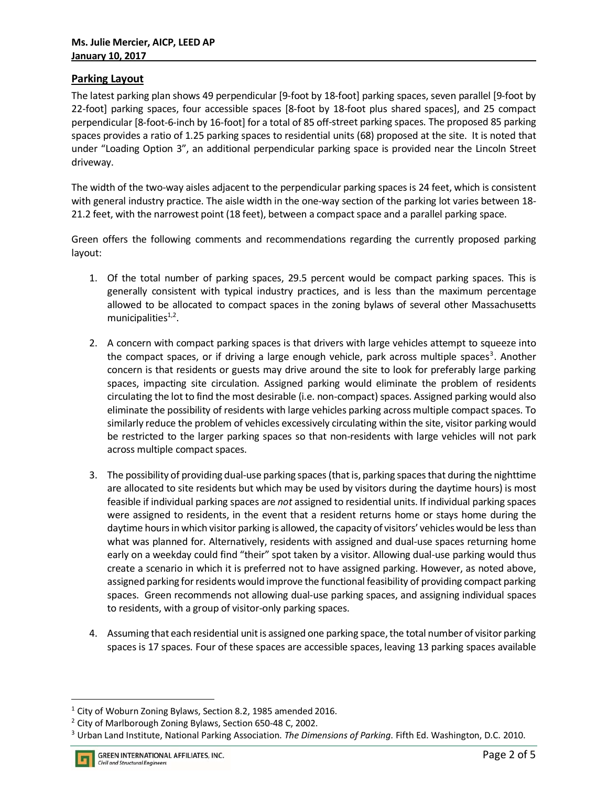## **Parking Layout**

The latest parking plan shows 49 perpendicular [9-foot by 18-foot] parking spaces, seven parallel [9-foot by 22-foot] parking spaces, four accessible spaces [8-foot by 18-foot plus shared spaces], and 25 compact perpendicular [8‐foot‐6‐inch by 16‐foot] for a total of 85 off‐street parking spaces. The proposed 85 parking spaces provides a ratio of 1.25 parking spaces to residential units (68) proposed at the site. It is noted that under "Loading Option 3", an additional perpendicular parking space is provided near the Lincoln Street driveway.

The width of the two-way aisles adjacent to the perpendicular parking spaces is 24 feet, which is consistent with general industry practice. The aisle width in the one-way section of the parking lot varies between 18-21.2 feet, with the narrowest point (18 feet), between a compact space and a parallel parking space.

Green offers the following comments and recommendations regarding the currently proposed parking layout:

- 1. Of the total number of parking spaces, 29.5 percent would be compact parking spaces. This is generally consistent with typical industry practices, and is less than the maximum percentage allowed to be allocated to compact spaces in the zoning bylaws of several other Massachusetts municipalities $1,2$ .
- 2. A concern with compact parking spaces is that drivers with large vehicles attempt to squeeze into the compact spaces, or if driving a large enough vehicle, park across multiple spaces<sup>3</sup>. Another concern is that residents or guests may drive around the site to look for preferably large parking spaces, impacting site circulation. Assigned parking would eliminate the problem of residents circulating the lot to find the most desirable (i.e. non‐compact) spaces. Assigned parking would also eliminate the possibility of residents with large vehicles parking across multiple compact spaces. To similarly reduce the problem of vehicles excessively circulating within the site, visitor parking would be restricted to the larger parking spaces so that non-residents with large vehicles will not park across multiple compact spaces.
- 3. The possibility of providing dual-use parking spaces (that is, parking spaces that during the nighttime are allocated to site residents but which may be used by visitors during the daytime hours) is most feasible if individual parking spaces are *not* assigned to residential units. If individual parking spaces were assigned to residents, in the event that a resident returns home or stays home during the daytime hours in which visitor parking is allowed, the capacity of visitors' vehicles would be less than what was planned for. Alternatively, residents with assigned and dual-use spaces returning home early on a weekday could find "their" spot taken by a visitor. Allowing dual-use parking would thus create a scenario in which it is preferred not to have assigned parking. However, as noted above, assigned parking forresidents would improve the functional feasibility of providing compact parking spaces. Green recommends not allowing dual‐use parking spaces, and assigning individual spaces to residents, with a group of visitor‐only parking spaces.
- 4. Assuming that each residential unit is assigned one parking space, the total number of visitor parking spacesis 17 spaces. Four of these spaces are accessible spaces, leaving 13 parking spaces available

<sup>&</sup>lt;sup>1</sup> City of Woburn Zoning Bylaws, Section 8.2, 1985 amended 2016.

<sup>&</sup>lt;sup>2</sup> City of Marlborough Zoning Bylaws, Section 650-48 C, 2002.

<sup>3</sup> Urban Land Institute, National Parking Association. *The Dimensions of Parking*. Fifth Ed. Washington, D.C. 2010.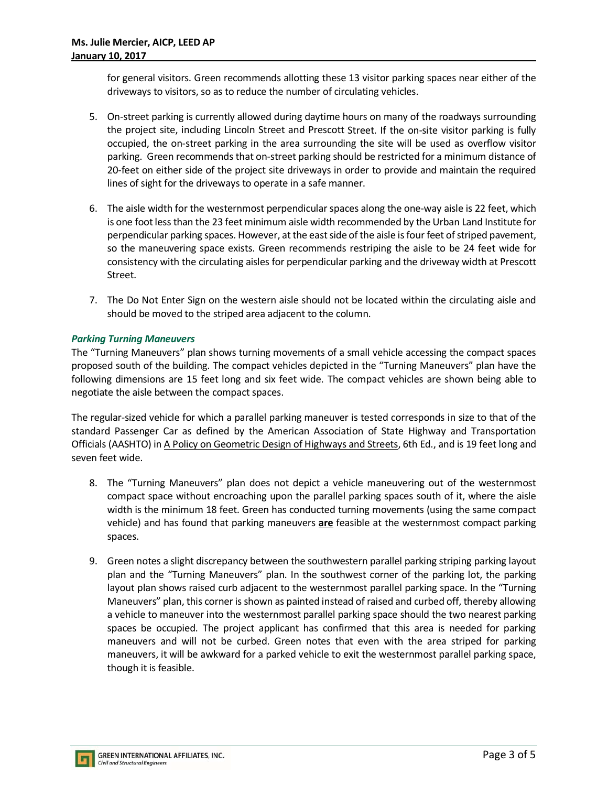for general visitors. Green recommends allotting these 13 visitor parking spaces near either of the driveways to visitors, so as to reduce the number of circulating vehicles.

- 5. On-street parking is currently allowed during daytime hours on many of the roadways surrounding the project site, including Lincoln Street and Prescott Street. If the on‐site visitor parking is fully occupied, the on‐street parking in the area surrounding the site will be used as overflow visitor parking. Green recommends that on‐street parking should be restricted for a minimum distance of 20‐feet on either side of the project site driveways in order to provide and maintain the required lines of sight for the driveways to operate in a safe manner.
- 6. The aisle width for the westernmost perpendicular spaces along the one‐way aisle is 22 feet, which is one foot less than the 23 feet minimum aisle width recommended by the Urban Land Institute for perpendicular parking spaces. However, at the east side of the aisle is four feet of striped pavement, so the maneuvering space exists. Green recommends restriping the aisle to be 24 feet wide for consistency with the circulating aisles for perpendicular parking and the driveway width at Prescott Street.
- 7. The Do Not Enter Sign on the western aisle should not be located within the circulating aisle and should be moved to the striped area adjacent to the column.

## *Parking Turning Maneuvers*

The "Turning Maneuvers" plan shows turning movements of a small vehicle accessing the compact spaces proposed south of the building. The compact vehicles depicted in the "Turning Maneuvers" plan have the following dimensions are 15 feet long and six feet wide. The compact vehicles are shown being able to negotiate the aisle between the compact spaces.

The regular‐sized vehicle for which a parallel parking maneuver is tested corresponds in size to that of the standard Passenger Car as defined by the American Association of State Highway and Transportation Officials (AASHTO) in A Policy on Geometric Design of Highways and Streets, 6th Ed., and is 19 feet long and seven feet wide.

- 8. The "Turning Maneuvers" plan does not depict a vehicle maneuvering out of the westernmost compact space without encroaching upon the parallel parking spaces south of it, where the aisle width is the minimum 18 feet. Green has conducted turning movements (using the same compact vehicle) and has found that parking maneuvers **are** feasible at the westernmost compact parking spaces.
- 9. Green notes a slight discrepancy between the southwestern parallel parking striping parking layout plan and the "Turning Maneuvers" plan. In the southwest corner of the parking lot, the parking layout plan shows raised curb adjacent to the westernmost parallel parking space. In the "Turning Maneuvers" plan, this corneris shown as painted instead of raised and curbed off, thereby allowing a vehicle to maneuver into the westernmost parallel parking space should the two nearest parking spaces be occupied. The project applicant has confirmed that this area is needed for parking maneuvers and will not be curbed. Green notes that even with the area striped for parking maneuvers, it will be awkward for a parked vehicle to exit the westernmost parallel parking space, though it is feasible.

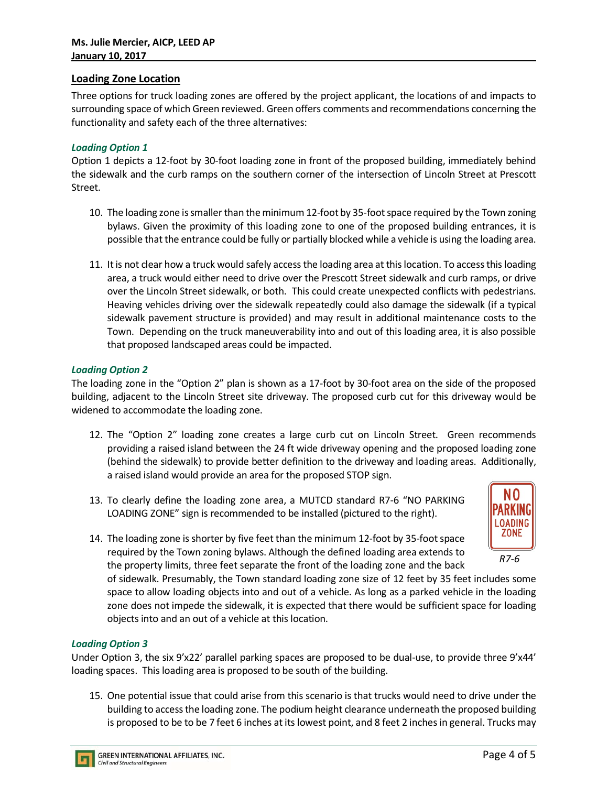### **Loading Zone Location**

Three options for truck loading zones are offered by the project applicant, the locations of and impacts to surrounding space of which Green reviewed. Green offers comments and recommendations concerning the functionality and safety each of the three alternatives:

### *Loading Option 1*

Option 1 depicts a 12‐foot by 30‐foot loading zone in front of the proposed building, immediately behind the sidewalk and the curb ramps on the southern corner of the intersection of Lincoln Street at Prescott Street.

- 10. The loading zone is smaller than the minimum 12-foot by 35-foot space required by the Town zoning bylaws. Given the proximity of this loading zone to one of the proposed building entrances, it is possible that the entrance could be fully or partially blocked while a vehicle is using the loading area.
- 11. Itis not clear how a truck would safely access the loading area at thislocation. To accessthisloading area, a truck would either need to drive over the Prescott Street sidewalk and curb ramps, or drive over the Lincoln Street sidewalk, or both. This could create unexpected conflicts with pedestrians. Heaving vehicles driving over the sidewalk repeatedly could also damage the sidewalk (if a typical sidewalk pavement structure is provided) and may result in additional maintenance costs to the Town. Depending on the truck maneuverability into and out of this loading area, it is also possible that proposed landscaped areas could be impacted.

#### *Loading Option 2*

The loading zone in the "Option 2" plan is shown as a 17‐foot by 30‐foot area on the side of the proposed building, adjacent to the Lincoln Street site driveway. The proposed curb cut for this driveway would be widened to accommodate the loading zone.

- 12. The "Option 2" loading zone creates a large curb cut on Lincoln Street. Green recommends providing a raised island between the 24 ft wide driveway opening and the proposed loading zone (behind the sidewalk) to provide better definition to the driveway and loading areas. Additionally, a raised island would provide an area for the proposed STOP sign.
- 13. To clearly define the loading zone area, a MUTCD standard R7‐6 "NO PARKING LOADING ZONE" sign is recommended to be installed (pictured to the right).



14. The loading zone is shorter by five feet than the minimum 12-foot by 35-foot space required by the Town zoning bylaws. Although the defined loading area extends to the property limits, three feet separate the front of the loading zone and the back

of sidewalk. Presumably, the Town standard loading zone size of 12 feet by 35 feet includes some space to allow loading objects into and out of a vehicle. As long as a parked vehicle in the loading zone does not impede the sidewalk, it is expected that there would be sufficient space for loading objects into and an out of a vehicle at this location.

#### *Loading Option 3*

Under Option 3, the six 9'x22' parallel parking spaces are proposed to be dual‐use, to provide three 9'x44' loading spaces. This loading area is proposed to be south of the building.

15. One potential issue that could arise from this scenario is that trucks would need to drive under the building to accessthe loading zone. The podium height clearance underneath the proposed building is proposed to be to be 7 feet 6 inches at its lowest point, and 8 feet 2 inches in general. Trucks may